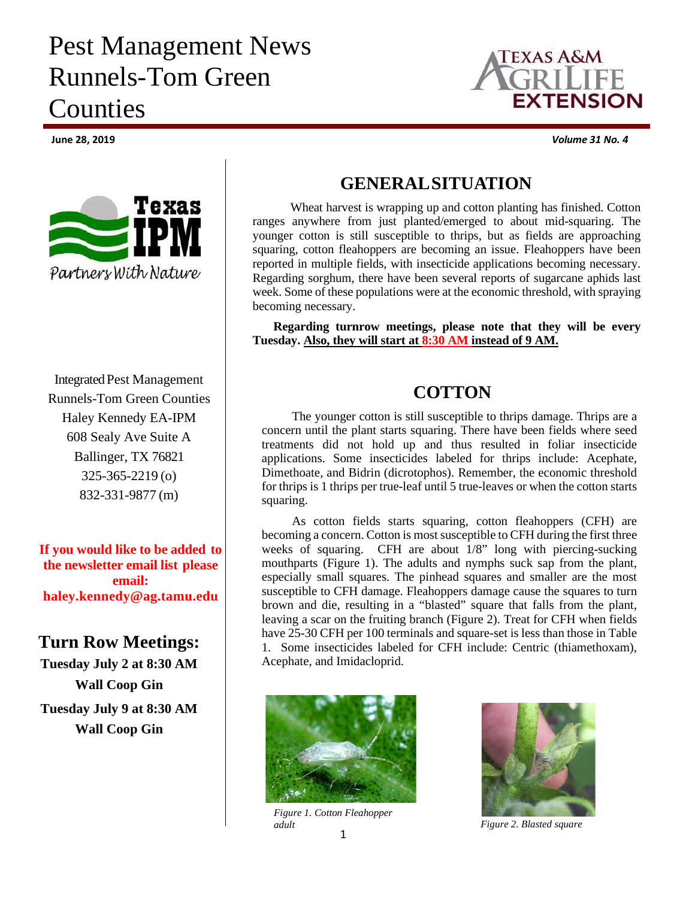# Pest Management News Runnels-Tom Green **Counties**



Integrated Pest Management Runnels-Tom Green Counties Haley Kennedy EA-IPM 608 Sealy Ave Suite A Ballinger, TX 76821 325-365-2219 (o) 832-331-9877 (m)

**If you would like to be added to the newsletter email list please email: haley.kennedy@ag.tamu.edu**

### **Turn Row Meetings:**

**Tuesday July 2 at 8:30 AM Wall Coop Gin Tuesday July 9 at 8:30 AM Wall Coop Gin**



**June 28, 2019** *Volume 31 No. 4*

#### **GENERALSITUATION**

Wheat harvest is wrapping up and cotton planting has finished. Cotton ranges anywhere from just planted/emerged to about mid-squaring. The younger cotton is still susceptible to thrips, but as fields are approaching squaring, cotton fleahoppers are becoming an issue. Fleahoppers have been reported in multiple fields, with insecticide applications becoming necessary. Regarding sorghum, there have been several reports of sugarcane aphids last week. Some of these populations were at the economic threshold, with spraying becoming necessary.

**Regarding turnrow meetings, please note that they will be every Tuesday. Also, they will start at 8:30 AM instead of 9 AM.**

## **COTTON**

The younger cotton is still susceptible to thrips damage. Thrips are a concern until the plant starts squaring. There have been fields where seed treatments did not hold up and thus resulted in foliar insecticide applications. Some insecticides labeled for thrips include: Acephate, Dimethoate, and Bidrin (dicrotophos). Remember, the economic threshold for thrips is 1 thrips per true-leaf until 5 true-leaves or when the cotton starts squaring.

As cotton fields starts squaring, cotton fleahoppers (CFH) are becoming a concern. Cotton is most susceptible to CFH during the first three weeks of squaring. CFH are about  $1/8$ " long with piercing-sucking mouthparts (Figure 1). The adults and nymphs suck sap from the plant, especially small squares. The pinhead squares and smaller are the most susceptible to CFH damage. Fleahoppers damage cause the squares to turn brown and die, resulting in a "blasted" square that falls from the plant, leaving a scar on the fruiting branch (Figure 2). Treat for CFH when fields have 25-30 CFH per 100 terminals and square-set is less than those in Table 1. Some insecticides labeled for CFH include: Centric (thiamethoxam), Acephate, and Imidacloprid.



1 *Figure 1. Cotton Fleahopper adult Figure 2. Blasted square*

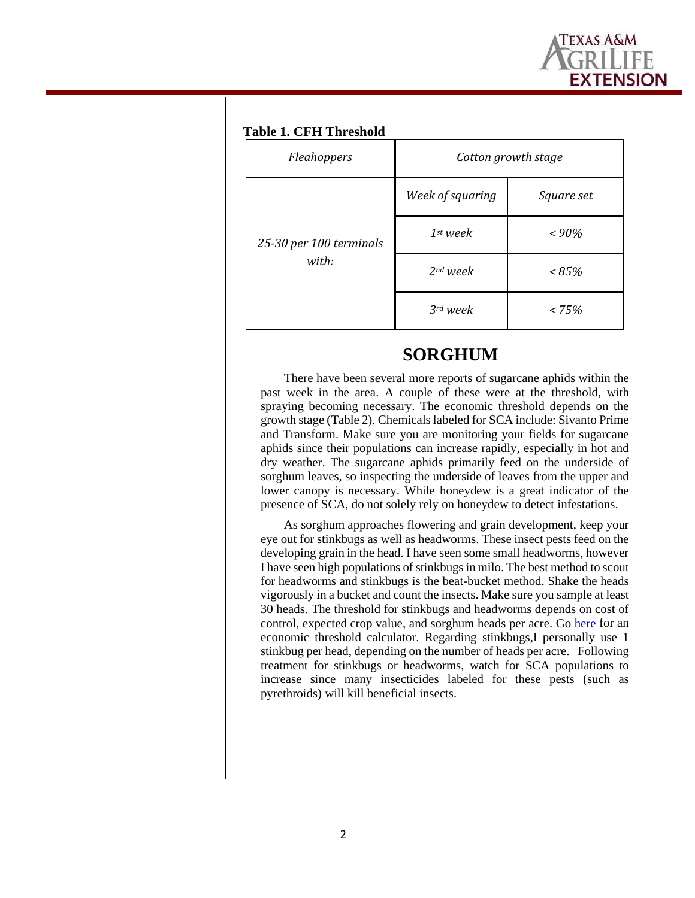

#### **Table 1. CFH Threshold**

| Fleahoppers                      | Cotton growth stage |            |
|----------------------------------|---------------------|------------|
| 25-30 per 100 terminals<br>with: | Week of squaring    | Square set |
|                                  | $1st$ week          | $~<$ 90%   |
|                                  | $2nd$ week          | $~< 85\%$  |
|                                  | $3rd$ week          | < 75%      |

#### **SORGHUM**

There have been several more reports of sugarcane aphids within the past week in the area. A couple of these were at the threshold, with spraying becoming necessary. The economic threshold depends on the growth stage (Table 2). Chemicals labeled for SCA include: Sivanto Prime and Transform. Make sure you are monitoring your fields for sugarcane aphids since their populations can increase rapidly, especially in hot and dry weather. The sugarcane aphids primarily feed on the underside of sorghum leaves, so inspecting the underside of leaves from the upper and lower canopy is necessary. While honeydew is a great indicator of the presence of SCA, do not solely rely on honeydew to detect infestations.

As sorghum approaches flowering and grain development, keep your eye out for stinkbugs as well as headworms. These insect pests feed on the developing grain in the head. I have seen some small headworms, however I have seen high populations of stinkbugs in milo. The best method to scout for headworms and stinkbugs is the beat-bucket method. Shake the heads vigorously in a bucket and count the insects. Make sure you sample at least 30 heads. The threshold for stinkbugs and headworms depends on cost of control, expected crop value, and sorghum heads per acre. Go [here](https://entomology.tamu.edu/extension/apps/) for an economic threshold calculator. Regarding stinkbugs,I personally use 1 stinkbug per head, depending on the number of heads per acre. Following treatment for stinkbugs or headworms, watch for SCA populations to increase since many insecticides labeled for these pests (such as pyrethroids) will kill beneficial insects.